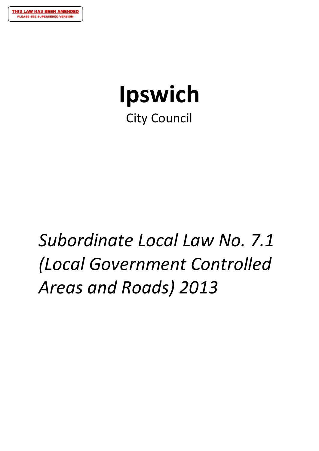# **Ipswich** City Council

# *Subordinate Local Law No. 7.1 (Local Government Controlled Areas and Roads) 2013*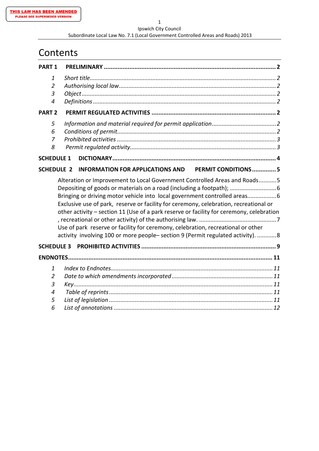#### Ipswich City Council Subordinate Local Law No. 7.1 (Local Government Controlled Areas and Roads) 2013

# **Contents**

| <b>PART 1</b>                                                                                                                                                                                                                                                                                                                                                                                                                                                                                                    |                                                                        |  |
|------------------------------------------------------------------------------------------------------------------------------------------------------------------------------------------------------------------------------------------------------------------------------------------------------------------------------------------------------------------------------------------------------------------------------------------------------------------------------------------------------------------|------------------------------------------------------------------------|--|
| 1<br>2<br>3<br>4                                                                                                                                                                                                                                                                                                                                                                                                                                                                                                 |                                                                        |  |
| <b>PART 2</b>                                                                                                                                                                                                                                                                                                                                                                                                                                                                                                    |                                                                        |  |
| 5<br>6<br>7<br>8                                                                                                                                                                                                                                                                                                                                                                                                                                                                                                 |                                                                        |  |
| <b>SCHEDULE 1</b>                                                                                                                                                                                                                                                                                                                                                                                                                                                                                                |                                                                        |  |
| <b>SCHEDULE 2</b>                                                                                                                                                                                                                                                                                                                                                                                                                                                                                                | <b>PERMIT CONDITIONS  5</b><br><b>INFORMATION FOR APPLICATIONS AND</b> |  |
| Alteration or Improvement to Local Government Controlled Areas and Roads5<br>Bringing or driving motor vehicle into local government controlled areas<br>Exclusive use of park, reserve or facility for ceremony, celebration, recreational or<br>other activity - section 11 (Use of a park reserve or facility for ceremony, celebration<br>Use of park reserve or facility for ceremony, celebration, recreational or other<br>activity involving 100 or more people-section 9 (Permit regulated activity). 8 |                                                                        |  |
|                                                                                                                                                                                                                                                                                                                                                                                                                                                                                                                  |                                                                        |  |
|                                                                                                                                                                                                                                                                                                                                                                                                                                                                                                                  |                                                                        |  |
| 1<br>2<br>3<br>4<br>5<br>6                                                                                                                                                                                                                                                                                                                                                                                                                                                                                       |                                                                        |  |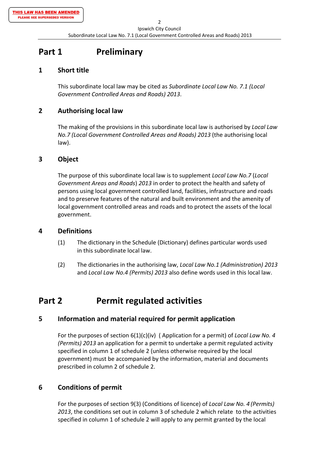# **Part 1 Preliminary**

## **1 Short title**

This subordinate local law may be cited as *Subordinate Local Law No. 7.1 (Local Government Controlled Areas and Roads) 2013*.

## **2 Authorising local law**

The making of the provisions in this subordinate local law is authorised by *Local Law No.7 (Local Government Controlled Areas and Roads) 2013* (the authorising local law).

## **3 Object**

The purpose of this subordinate local law is to supplement *Local Law No.7* (*Local Government Areas and Roads*) *2013* in order to protect the health and safety of persons using local government controlled land, facilities, infrastructure and roads and to preserve features of the natural and built environment and the amenity of local government controlled areas and roads and to protect the assets of the local government.

## **4 Definitions**

- (1) The dictionary in the Schedule (Dictionary) defines particular words used in this subordinate local law.
- (2) The dictionaries in the authorising law, *Local Law No.1 (Administration) 2013* and *Local Law No.4 (Permits) 2013* also define words used in this local law.

# **Part 2 Permit regulated activities**

## **5 Information and material required for permit application**

For the purposes of section 6(1)(c)(iv) ( Application for a permit) of *Local Law No. 4 (Permits) 2013* an application for a permit to undertake a permit regulated activity specified in column 1 of schedule 2 (unless otherwise required by the local government) must be accompanied by the information, material and documents prescribed in column 2 of schedule 2.

## **6 Conditions of permit**

For the purposes of section 9(3) (Conditions of licence) of *Local Law No. 4 (Permits) 2013*, the conditions set out in column 3 of schedule 2 which relate to the activities specified in column 1 of schedule 2 will apply to any permit granted by the local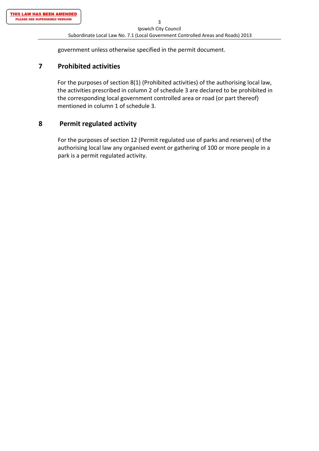government unless otherwise specified in the permit document.

#### **7 Prohibited activities**

For the purposes of section 8(1) (Prohibited activities) of the authorising local law, the activities prescribed in column 2 of schedule 3 are declared to be prohibited in the corresponding local government controlled area or road (or part thereof) mentioned in column 1 of schedule 3.

#### **8 Permit regulated activity**

For the purposes of section 12 (Permit regulated use of parks and reserves) of the authorising local law any organised event or gathering of 100 or more people in a park is a permit regulated activity.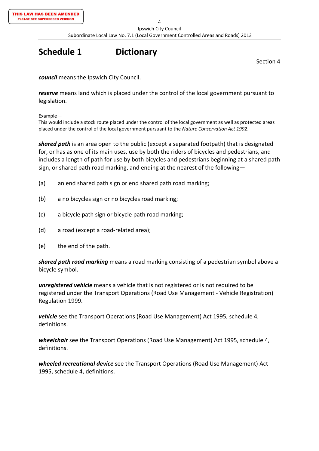# **Schedule 1 Dictionary**

Section 4

*council* means the Ipswich City Council.

*reserve* means land which is placed under the control of the local government pursuant to legislation.

Example—

This would include a stock route placed under the control of the local government as well as protected areas placed under the control of the local government pursuant to the *Nature Conservation Act 1992*.

*shared path* is an area open to the public (except a separated footpath) that is designated for, or has as one of its main uses, use by both the riders of bicycles and pedestrians, and includes a length of path for use by both bicycles and pedestrians beginning at a shared path sign, or shared path road marking, and ending at the nearest of the following—

- (a) an end shared path sign or end shared path road marking;
- (b) a no bicycles sign or no bicycles road marking;
- (c) a bicycle path sign or bicycle path road marking;
- (d) a road (except a road‐related area);
- (e) the end of the path.

*shared path road marking* means a road marking consisting of a pedestrian symbol above a bicycle symbol.

*unregistered vehicle* means a vehicle that is not registered or is not required to be registered under the Transport Operations (Road Use Management ‐ Vehicle Registration) Regulation 1999.

*vehicle* see the Transport Operations (Road Use Management) Act 1995, schedule 4, definitions.

*wheelchair* see the Transport Operations (Road Use Management) Act 1995, schedule 4, definitions.

*wheeled recreational device* see the Transport Operations (Road Use Management) Act 1995, schedule 4, definitions.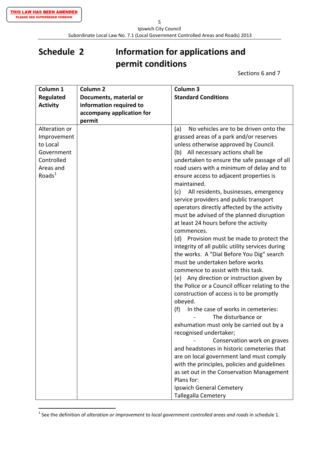Subordinate Local Law No. 7.1 (Local Government Controlled Areas and Roads) 2013

# **Schedule 2 Information for applications and permit conditions**

Sections 6 and 7

| Column 1           | Column <sub>2</sub>       | Column 3                                        |
|--------------------|---------------------------|-------------------------------------------------|
| <b>Regulated</b>   | Documents, material or    | <b>Standard Conditions</b>                      |
| <b>Activity</b>    | information required to   |                                                 |
|                    | accompany application for |                                                 |
|                    | permit                    |                                                 |
| Alteration or      |                           | No vehicles are to be driven onto the<br>(a)    |
| Improvement        |                           | grassed areas of a park and/or reserves         |
| to Local           |                           | unless otherwise approved by Council.           |
| Government         |                           | (b) All necessary actions shall be              |
| Controlled         |                           | undertaken to ensure the safe passage of all    |
| Areas and          |                           | road users with a minimum of delay and to       |
| Roads <sup>1</sup> |                           | ensure access to adjacent properties is         |
|                    |                           | maintained.                                     |
|                    |                           | All residents, businesses, emergency<br>(c)     |
|                    |                           | service providers and public transport          |
|                    |                           | operators directly affected by the activity     |
|                    |                           | must be advised of the planned disruption       |
|                    |                           | at least 24 hours before the activity           |
|                    |                           | commences.                                      |
|                    |                           | (d) Provision must be made to protect the       |
|                    |                           | integrity of all public utility services during |
|                    |                           | the works. A "Dial Before You Dig" search       |
|                    |                           | must be undertaken before works                 |
|                    |                           | commence to assist with this task.              |
|                    |                           | (e) Any direction or instruction given by       |
|                    |                           | the Police or a Council officer relating to the |
|                    |                           | construction of access is to be promptly        |
|                    |                           | obeyed.                                         |
|                    |                           | (f)<br>In the case of works in cemeteries:      |
|                    |                           | The disturbance or                              |
|                    |                           | exhumation must only be carried out by a        |
|                    |                           | recognised undertaker;                          |
|                    |                           | Conservation work on graves                     |
|                    |                           | and headstones in historic cemeteries that      |
|                    |                           | are on local government land must comply        |
|                    |                           | with the principles, policies and guidelines    |
|                    |                           | as set out in the Conservation Management       |
|                    |                           | Plans for:                                      |
|                    |                           | Ipswich General Cemetery                        |
|                    |                           | Tallegalla Cemetery                             |

<sup>1</sup> See the definition of *alteration or improvement to local government controlled areas and roads* in schedule 1.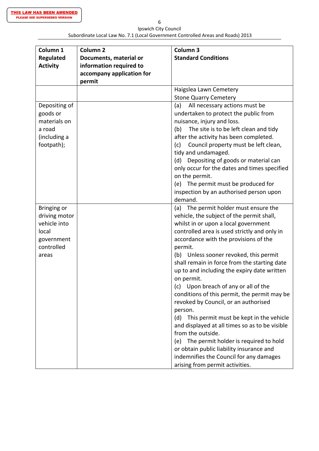| Ipswich City Council                                                             |
|----------------------------------------------------------------------------------|
| Subordinate Local Law No. 7.1 (Local Government Controlled Areas and Roads) 2013 |

| Column <sub>1</sub>                 | Column <sub>2</sub>                               | Column <sub>3</sub>                                                        |
|-------------------------------------|---------------------------------------------------|----------------------------------------------------------------------------|
| <b>Regulated</b><br><b>Activity</b> | Documents, material or<br>information required to | <b>Standard Conditions</b>                                                 |
|                                     | accompany application for                         |                                                                            |
|                                     | permit                                            |                                                                            |
|                                     |                                                   | Haigslea Lawn Cemetery                                                     |
|                                     |                                                   | <b>Stone Quarry Cemetery</b>                                               |
| Depositing of                       |                                                   | (a)<br>All necessary actions must be                                       |
| goods or<br>materials on            |                                                   | undertaken to protect the public from                                      |
| a road                              |                                                   | nuisance, injury and loss.<br>The site is to be left clean and tidy<br>(b) |
| (including a                        |                                                   | after the activity has been completed.                                     |
| footpath);                          |                                                   | Council property must be left clean,<br>(c)                                |
|                                     |                                                   | tidy and undamaged.                                                        |
|                                     |                                                   | Depositing of goods or material can<br>(d)                                 |
|                                     |                                                   | only occur for the dates and times specified                               |
|                                     |                                                   | on the permit.                                                             |
|                                     |                                                   | The permit must be produced for<br>(e)                                     |
|                                     |                                                   | inspection by an authorised person upon                                    |
|                                     |                                                   | demand.                                                                    |
| Bringing or                         |                                                   | (a) The permit holder must ensure the                                      |
| driving motor                       |                                                   | vehicle, the subject of the permit shall,                                  |
| vehicle into                        |                                                   | whilst in or upon a local government                                       |
| local                               |                                                   | controlled area is used strictly and only in                               |
| government                          |                                                   | accordance with the provisions of the                                      |
| controlled                          |                                                   | permit.                                                                    |
| areas                               |                                                   | Unless sooner revoked, this permit<br>(b)                                  |
|                                     |                                                   | shall remain in force from the starting date                               |
|                                     |                                                   | up to and including the expiry date written                                |
|                                     |                                                   | on permit.                                                                 |
|                                     |                                                   | Upon breach of any or all of the<br>(c)                                    |
|                                     |                                                   | conditions of this permit, the permit may be                               |
|                                     |                                                   | revoked by Council, or an authorised                                       |
|                                     |                                                   | person.                                                                    |
|                                     |                                                   | (d)<br>This permit must be kept in the vehicle                             |
|                                     |                                                   | and displayed at all times so as to be visible                             |
|                                     |                                                   | from the outside.                                                          |
|                                     |                                                   | The permit holder is required to hold<br>(e)                               |
|                                     |                                                   | or obtain public liability insurance and                                   |
|                                     |                                                   | indemnifies the Council for any damages<br>arising from permit activities. |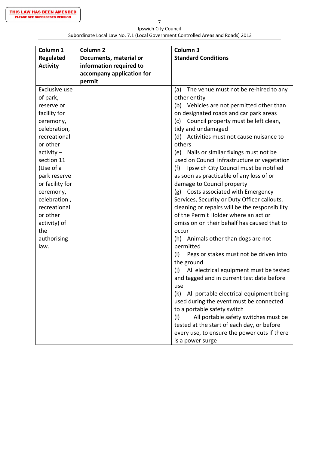Ipswich City Council Subordinate Local Law No. 7.1 (Local Government Controlled Areas and Roads) 2013

| Column 1         | Column <sub>2</sub>       | Column 3                                       |
|------------------|---------------------------|------------------------------------------------|
| <b>Regulated</b> | Documents, material or    | <b>Standard Conditions</b>                     |
| <b>Activity</b>  | information required to   |                                                |
|                  | accompany application for |                                                |
|                  | permit                    |                                                |
| Exclusive use    |                           | The venue must not be re-hired to any<br>(a)   |
| of park,         |                           | other entity                                   |
| reserve or       |                           | (b) Vehicles are not permitted other than      |
| facility for     |                           | on designated roads and car park areas         |
| ceremony,        |                           | Council property must be left clean,<br>(c)    |
| celebration,     |                           | tidy and undamaged                             |
| recreational     |                           | (d) Activities must not cause nuisance to      |
| or other         |                           | others                                         |
| $activity -$     |                           | (e) Nails or similar fixings must not be       |
| section 11       |                           | used on Council infrastructure or vegetation   |
| (Use of a        |                           | Ipswich City Council must be notified<br>(f)   |
| park reserve     |                           | as soon as practicable of any loss of or       |
| or facility for  |                           | damage to Council property                     |
| ceremony,        |                           | (g) Costs associated with Emergency            |
| celebration,     |                           | Services, Security or Duty Officer callouts,   |
| recreational     |                           | cleaning or repairs will be the responsibility |
| or other         |                           | of the Permit Holder where an act or           |
| activity) of     |                           | omission on their behalf has caused that to    |
| the              |                           | occur                                          |
| authorising      |                           | (h) Animals other than dogs are not            |
| law.             |                           | permitted                                      |
|                  |                           | (i)<br>Pegs or stakes must not be driven into  |
|                  |                           | the ground                                     |
|                  |                           | All electrical equipment must be tested<br>(i) |
|                  |                           | and tagged and in current test date before     |
|                  |                           | use                                            |
|                  |                           | (k)<br>All portable electrical equipment being |
|                  |                           | used during the event must be connected        |
|                  |                           | to a portable safety switch                    |
|                  |                           | (1)<br>All portable safety switches must be    |
|                  |                           | tested at the start of each day, or before     |
|                  |                           | every use, to ensure the power cuts if there   |
|                  |                           | is a power surge                               |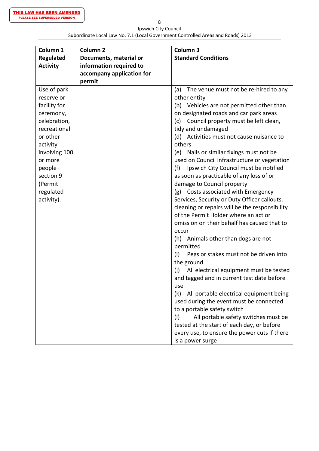Ipswich City Council Subordinate Local Law No. 7.1 (Local Government Controlled Areas and Roads) 2013

| Column 1         | Column <sub>2</sub>       | Column 3                                       |
|------------------|---------------------------|------------------------------------------------|
| <b>Regulated</b> | Documents, material or    | <b>Standard Conditions</b>                     |
| <b>Activity</b>  | information required to   |                                                |
|                  | accompany application for |                                                |
|                  | permit                    |                                                |
| Use of park      |                           | The venue must not be re-hired to any<br>(a)   |
| reserve or       |                           | other entity                                   |
| facility for     |                           | (b) Vehicles are not permitted other than      |
| ceremony,        |                           | on designated roads and car park areas         |
| celebration,     |                           | Council property must be left clean,<br>(c)    |
| recreational     |                           | tidy and undamaged                             |
| or other         |                           | (d) Activities must not cause nuisance to      |
| activity         |                           | others                                         |
| involving 100    |                           | (e) Nails or similar fixings must not be       |
| or more          |                           | used on Council infrastructure or vegetation   |
| people-          |                           | Ipswich City Council must be notified<br>(f)   |
| section 9        |                           | as soon as practicable of any loss of or       |
| (Permit          |                           | damage to Council property                     |
| regulated        |                           | (g) Costs associated with Emergency            |
| activity).       |                           | Services, Security or Duty Officer callouts,   |
|                  |                           | cleaning or repairs will be the responsibility |
|                  |                           | of the Permit Holder where an act or           |
|                  |                           | omission on their behalf has caused that to    |
|                  |                           | occur                                          |
|                  |                           | (h) Animals other than dogs are not            |
|                  |                           | permitted                                      |
|                  |                           | (i)<br>Pegs or stakes must not be driven into  |
|                  |                           | the ground                                     |
|                  |                           | (i)<br>All electrical equipment must be tested |
|                  |                           | and tagged and in current test date before     |
|                  |                           | use                                            |
|                  |                           | (k)<br>All portable electrical equipment being |
|                  |                           | used during the event must be connected        |
|                  |                           | to a portable safety switch                    |
|                  |                           | All portable safety switches must be<br>(1)    |
|                  |                           | tested at the start of each day, or before     |
|                  |                           | every use, to ensure the power cuts if there   |
|                  |                           | is a power surge                               |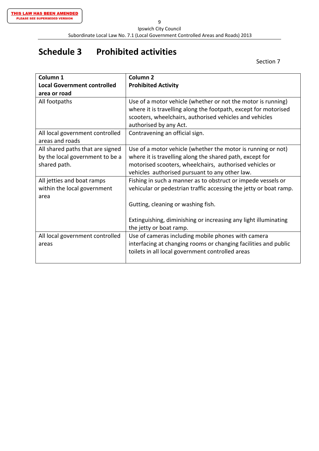9 Ipswich City Council Subordinate Local Law No. 7.1 (Local Government Controlled Areas and Roads) 2013

# **Schedule 3 Prohibited activities**

Section 7

| Column <sub>1</sub>                | Column <sub>2</sub>                                               |
|------------------------------------|-------------------------------------------------------------------|
| <b>Local Government controlled</b> | <b>Prohibited Activity</b>                                        |
| area or road                       |                                                                   |
| All footpaths                      | Use of a motor vehicle (whether or not the motor is running)      |
|                                    | where it is travelling along the footpath, except for motorised   |
|                                    | scooters, wheelchairs, authorised vehicles and vehicles           |
|                                    | authorised by any Act.                                            |
| All local government controlled    | Contravening an official sign.                                    |
| areas and roads                    |                                                                   |
| All shared paths that are signed   | Use of a motor vehicle (whether the motor is running or not)      |
| by the local government to be a    | where it is travelling along the shared path, except for          |
| shared path.                       | motorised scooters, wheelchairs, authorised vehicles or           |
|                                    | vehicles authorised pursuant to any other law.                    |
| All jetties and boat ramps         | Fishing in such a manner as to obstruct or impede vessels or      |
| within the local government        | vehicular or pedestrian traffic accessing the jetty or boat ramp. |
| area                               |                                                                   |
|                                    | Gutting, cleaning or washing fish.                                |
|                                    |                                                                   |
|                                    | Extinguishing, diminishing or increasing any light illuminating   |
|                                    | the jetty or boat ramp.                                           |
| All local government controlled    | Use of cameras including mobile phones with camera                |
| areas                              | interfacing at changing rooms or changing facilities and public   |
|                                    | toilets in all local government controlled areas                  |
|                                    |                                                                   |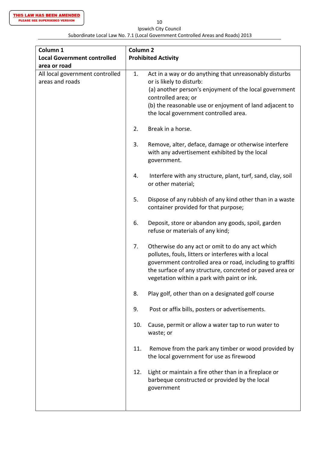10 Ipswich City Council

#### Subordinate Local Law No. 7.1 (Local Government Controlled Areas and Roads) 2013

| Column 1                                           | Column <sub>2</sub> |                                                                                                                                                                                                                                                                                 |  |
|----------------------------------------------------|---------------------|---------------------------------------------------------------------------------------------------------------------------------------------------------------------------------------------------------------------------------------------------------------------------------|--|
| <b>Local Government controlled</b>                 |                     | <b>Prohibited Activity</b>                                                                                                                                                                                                                                                      |  |
| area or road                                       |                     |                                                                                                                                                                                                                                                                                 |  |
| All local government controlled<br>areas and roads | 1.                  | Act in a way or do anything that unreasonably disturbs<br>or is likely to disturb:<br>(a) another person's enjoyment of the local government<br>controlled area; or<br>(b) the reasonable use or enjoyment of land adjacent to<br>the local government controlled area.         |  |
|                                                    | 2.                  | Break in a horse.                                                                                                                                                                                                                                                               |  |
|                                                    | 3.                  | Remove, alter, deface, damage or otherwise interfere<br>with any advertisement exhibited by the local<br>government.                                                                                                                                                            |  |
|                                                    | 4.                  | Interfere with any structure, plant, turf, sand, clay, soil<br>or other material;                                                                                                                                                                                               |  |
|                                                    | 5.                  | Dispose of any rubbish of any kind other than in a waste<br>container provided for that purpose;                                                                                                                                                                                |  |
|                                                    | 6.                  | Deposit, store or abandon any goods, spoil, garden<br>refuse or materials of any kind;                                                                                                                                                                                          |  |
|                                                    | 7.                  | Otherwise do any act or omit to do any act which<br>pollutes, fouls, litters or interferes with a local<br>government controlled area or road, including to graffiti<br>the surface of any structure, concreted or paved area or<br>vegetation within a park with paint or ink. |  |
|                                                    | 8.                  | Play golf, other than on a designated golf course                                                                                                                                                                                                                               |  |
|                                                    | 9.                  | Post or affix bills, posters or advertisements.                                                                                                                                                                                                                                 |  |
|                                                    | 10.                 | Cause, permit or allow a water tap to run water to<br>waste; or                                                                                                                                                                                                                 |  |
|                                                    | 11.                 | Remove from the park any timber or wood provided by<br>the local government for use as firewood                                                                                                                                                                                 |  |
|                                                    | 12.                 | Light or maintain a fire other than in a fireplace or<br>barbeque constructed or provided by the local<br>government                                                                                                                                                            |  |
|                                                    |                     |                                                                                                                                                                                                                                                                                 |  |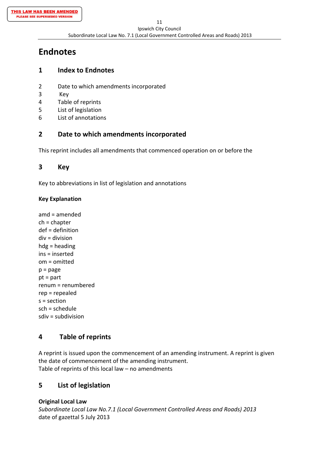# **Endnotes**

# **1 Index to Endnotes**

- 2 Date to which amendments incorporated
- 3 Key
- 4 Table of reprints
- 5 List of legislation
- 6 List of annotations

# **2 Date to which amendments incorporated**

This reprint includes all amendments that commenced operation on or before the

# **3 Key**

Key to abbreviations in list of legislation and annotations

## **Key Explanation**

amd = amended ch = chapter def = definition div = division hdg = heading ins = inserted om = omitted  $p = page$ pt = part renum = renumbered rep = repealed  $s =$  section sch = schedule sdiv = subdivision

# **4 Table of reprints**

A reprint is issued upon the commencement of an amending instrument. A reprint is given the date of commencement of the amending instrument. Table of reprints of this local law – no amendments

# **5 List of legislation**

**Original Local Law**

*Subordinate Local Law No.7.1 (Local Government Controlled Areas and Roads) 2013* date of gazettal 5 July 2013